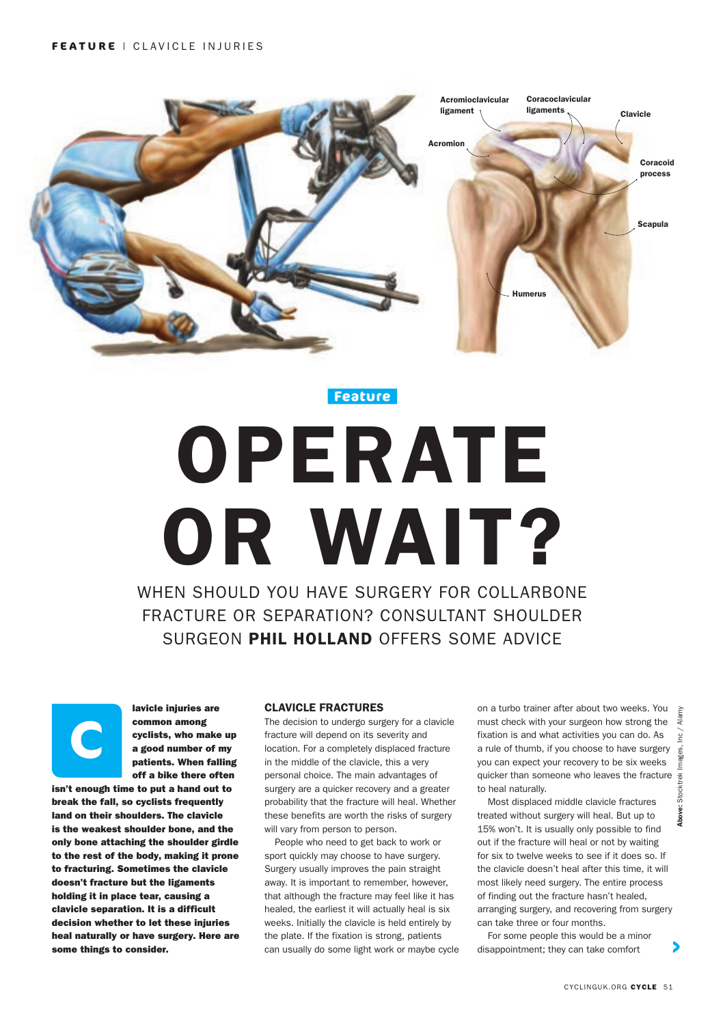

**Feature**

# OPERATE OR WAIT? WHEN SHOULD YOU HAVE SURGERY FOR COLLARBONE

FRACTURE OR SEPARATION? CONSULTANT SHOULDER SURGEON PHIL HOLLAND OFFERS SOME ADVICE



lavicle injuries are common among cyclists, who make up a good number of my patients. When falling off a bike there often

isn't enough time to put a hand out to break the fall, so cyclists frequently land on their shoulders. The clavicle is the weakest shoulder bone, and the only bone attaching the shoulder girdle to the rest of the body, making it prone to fracturing. Sometimes the clavicle doesn't fracture but the ligaments holding it in place tear, causing a clavicle separation. It is a difficult decision whether to let these injuries heal naturally or have surgery. Here are some things to consider.

## CLAVICLE FRACTURES

The decision to undergo surgery for a clavicle fracture will depend on its severity and location. For a completely displaced fracture in the middle of the clavicle, this a very personal choice. The main advantages of surgery are a quicker recovery and a greater probability that the fracture will heal. Whether these benefits are worth the risks of surgery will vary from person to person.

People who need to get back to work or sport quickly may choose to have surgery. Surgery usually improves the pain straight away. It is important to remember, however, that although the fracture may feel like it has healed, the earliest it will actually heal is six weeks. Initially the clavicle is held entirely by the plate. If the fixation is strong, patients can usually do some light work or maybe cycle on a turbo trainer after about two weeks. You must check with your surgeon how strong the fixation is and what activities you can do. As a rule of thumb, if you choose to have surgery you can expect your recovery to be six weeks quicker than someone who leaves the fracture to heal naturally.

Most displaced middle clavicle fractures treated without surgery will heal. But up to 15% won't. It is usually only possible to find out if the fracture will heal or not by waiting for six to twelve weeks to see if it does so. If the clavicle doesn't heal after this time, it will most likely need surgery. The entire process of finding out the fracture hasn't healed, arranging surgery, and recovering from surgery can take three or four months.

For some people this would be a minor disappointment; they can take comfort